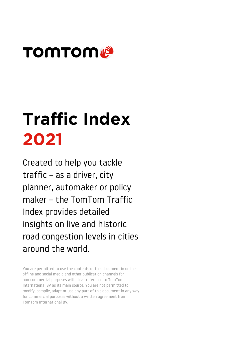

# Traffic Index 2021

Created to help you tackle traffic – as a driver, city planner, automaker or policy maker – the TomTom Traffic Index provides detailed insights on live and historic road congestion levels in cities around the world.

You are permitted to use the contents of this document in online, offline and social media and other publication channels for non-commercial purposes with clear reference to TomTom International BV as its main source. You are not permitted to modify, compile, adapt or use any part of this document in any way for commercial purposes without a written agreement from TomTom International BV.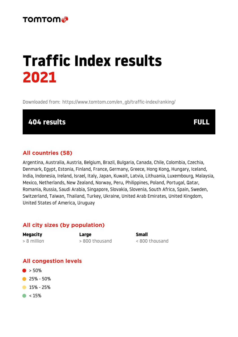## Traffic Index results 2021

Downloaded from: [https://www.tomtom.com/en\\_gb/traffic-index/ranking/](https://www.tomtom.com/en_gb/traffic-index/ranking/)

404 results FULL

#### All countries (58)

Argentina, Australia, Austria, Belgium, Brazil, Bulgaria, Canada, Chile, Colombia, Czechia, Denmark, Egypt, Estonia, Finland, France, Germany, Greece, Hong Kong, Hungary, Iceland, India, Indonesia, Ireland, Israel, Italy, Japan, Kuwait, Latvia, Lithuania, Luxembourg, Malaysia, Mexico, Netherlands, New Zealand, Norway, Peru, Philippines, Poland, Portugal, Qatar, Romania, Russia, Saudi Arabia, Singapore, Slovakia, Slovenia, South Africa, Spain, Sweden, Switzerland, Taiwan, Thailand, Turkey, Ukraine, United Arab Emirates, United Kingdom, United States of America, Uruguay

#### All city sizes (by population)

| <b>Megacity</b> | Large          | <b>Small</b>   |
|-----------------|----------------|----------------|
| $> 8$ million   | > 800 thousand | < 800 thousand |

#### All congestion levels

- $\bullet$  > 50%
- **25% 50%**
- $\bullet$  15% 25%
- $\bullet$  < 15%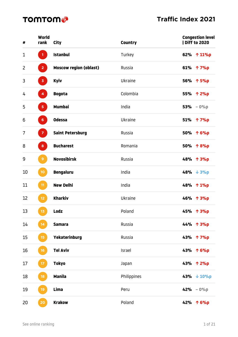| #              | World<br>rank           | <b>City</b>                   | <b>Country</b> | <b>Congestion level</b><br><b>I Diff to 2020</b> |
|----------------|-------------------------|-------------------------------|----------------|--------------------------------------------------|
| $\mathbf{1}$   | 1 <sub>1</sub>          | <b>Istanbul</b>               | Turkey         | 62% ↑ 11%p                                       |
| $\overline{2}$ | 2 <sup>7</sup>          | <b>Moscow region (oblast)</b> | Russia         | 61% ↑ 7%p                                        |
| 3              | $\overline{\mathbf{3}}$ | <b>Kyiv</b>                   | Ukraine        | 56% 个 5%p                                        |
| 4              | $\overline{\mathbf{4}}$ | <b>Bogota</b>                 | Colombia       | 55% 个 2%p                                        |
| 5              | 5 <sub>1</sub>          | <b>Mumbai</b>                 | India          | $53% - 0%$                                       |
| 6              | 6 <sup>1</sup>          | <b>Odessa</b>                 | Ukraine        | 51% 个 7%p                                        |
| 7              | $\mathbf{Z}$            | <b>Saint Petersburg</b>       | Russia         | 50% ↑ 6%p                                        |
| 8              | 8                       | <b>Bucharest</b>              | Romania        | 50% 个8%p                                         |
| 9              | 9 <sup>°</sup>          | <b>Novosibirsk</b>            | Russia         | 48% 个 3%p                                        |
| 10             | 10 <sub>o</sub>         | <b>Bengaluru</b>              | India          | 48% $\sqrt{3}$                                   |
| 11             | 11                      | <b>New Delhi</b>              | India          | 48% 个 1%p                                        |
| 12             | $12$                    | <b>Kharkiv</b>                | Ukraine        | 46% 个 3%p                                        |
| 13             | $13$                    | <b>Lodz</b>                   | Poland         | 45% 个 3%p                                        |
| 14             | 14                      | <b>Samara</b>                 | Russia         | 44% 个 3%p                                        |
| 15             | 15 <sub>15</sub>        | Yekaterinburg                 | Russia         | 43% 个 7%p                                        |
| 16             | 16                      | <b>Tel Aviv</b>               | Israel         | 43% 个 6%p                                        |
| 17             | $17\,$                  | <b>Tokyo</b>                  | Japan          | 43% 个 2%p                                        |
| 18             | 18                      | <b>Manila</b>                 | Philippines    | 43% $\downarrow$ 10%p                            |
| 19             | 19                      | Lima                          | Peru           | $42% - 0%$                                       |
| 20             | 20                      | <b>Krakow</b>                 | Poland         | 42% 个 6%p                                        |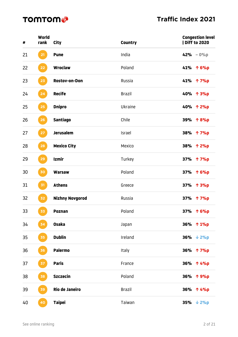| #  | World<br>rank    | <b>City</b>            | <b>Country</b> | <b>Congestion level</b><br><b>  Diff to 2020</b> |
|----|------------------|------------------------|----------------|--------------------------------------------------|
| 21 | 21               | <b>Pune</b>            | India          | 42% $-0\%p$                                      |
| 22 | 22               | <b>Wroclaw</b>         | Poland         | 41% ↑ 6%p                                        |
| 23 | 23               | Rostov-on-Don          | Russia         | 41% 个 7%p                                        |
| 24 | 24               | <b>Recife</b>          | <b>Brazil</b>  | 40% 个 3%p                                        |
| 25 | 25               | <b>Dnipro</b>          | Ukraine        | 40% 个 2%p                                        |
| 26 | $26\phantom{.0}$ | <b>Santiago</b>        | Chile          | 39% 个 8%p                                        |
| 27 | 27               | <b>Jerusalem</b>       | Israel         | 38% 个 7%p                                        |
| 28 | 28               | <b>Mexico City</b>     | Mexico         | 38% 个 2%p                                        |
| 29 | 29               | <b>Izmir</b>           | Turkey         | 37% 个 7%p                                        |
| 30 | 30               | <b>Warsaw</b>          | Poland         | 37% 个 6%p                                        |
| 31 | 31               | <b>Athens</b>          | Greece         | 37% 个 3%p                                        |
| 32 | 32               | <b>Nizhny Novgorod</b> | Russia         | 37% 个 7%p                                        |
| 33 | 33               | <b>Poznan</b>          | Poland         | 37% 个 6%p                                        |
| 34 | 34               | <b>Osaka</b>           | Japan          | 36% 个 1%p                                        |
| 35 | 35               | <b>Dublin</b>          | Ireland        | 36% $\sqrt{2\%p}$                                |
| 36 | 36               | <b>Palermo</b>         | Italy          | 36% 个 7%p                                        |
| 37 | 37               | <b>Paris</b>           | France         | 36% 个 4%p                                        |
| 38 | 38               | <b>Szczecin</b>        | Poland         | 36% 个 9%p                                        |
| 39 | 39               | <b>Rio de Janeiro</b>  | <b>Brazil</b>  | 36% 个 4%p                                        |
| 40 | 40               | <b>Taipei</b>          | Taiwan         | 35% $\sqrt{2\%p}$                                |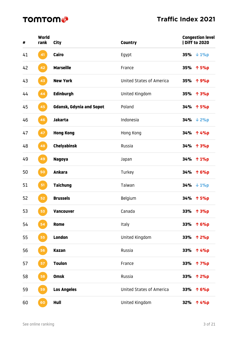| #  | World<br>rank | <b>City</b>                     | <b>Country</b>           | <b>Congestion level</b><br>  Diff to 2020 |
|----|---------------|---------------------------------|--------------------------|-------------------------------------------|
| 41 | 41            | <b>Cairo</b>                    | Egypt                    | 35% $\sqrt{1\%p}$                         |
| 42 | 42            | <b>Marseille</b>                | France                   | 35% 个 5%p                                 |
| 43 | 43            | <b>New York</b>                 | United States of America | 35% 个 9%p                                 |
| 44 | 44            | <b>Edinburgh</b>                | United Kingdom           | 35% 个 3%p                                 |
| 45 | 45            | <b>Gdansk, Gdynia and Sopot</b> | Poland                   | 34% 个 5%p                                 |
| 46 | 46            | <b>Jakarta</b>                  | Indonesia                | $34% \t + 2%p$                            |
| 47 | 47            | <b>Hong Kong</b>                | Hong Kong                | 34% 个 4%p                                 |
| 48 | 48            | <b>Chelyabinsk</b>              | Russia                   | 34% 个 3%p                                 |
| 49 | 49            | <b>Nagoya</b>                   | Japan                    | 34% 个 1%p                                 |
| 50 | 50            | <b>Ankara</b>                   | Turkey                   | 34% 个 6%p                                 |
| 51 | 51            | <b>Taichung</b>                 | Taiwan                   | $34% \t + 1%p$                            |
| 52 | 52            | <b>Brussels</b>                 | Belgium                  | 34% 个 5%p                                 |
| 53 | 53            | <b>Vancouver</b>                | Canada                   | 33% 个 3%p                                 |
| 54 | 54            | Rome                            | Italy                    | 33% 个 6%p                                 |
| 55 | 55            | <b>London</b>                   | United Kingdom           | 33% 个 2%p                                 |
| 56 | 56            | <b>Kazan</b>                    | Russia                   | 33% 个 4%p                                 |
| 57 | 57            | <b>Toulon</b>                   | France                   | 33% 个 7%p                                 |
| 58 | 58            | <b>Omsk</b>                     | Russia                   | 33%<br>个 2%p                              |
| 59 | 59            | <b>Los Angeles</b>              | United States of America | 33% 个 6%p                                 |
| 60 | 60            | Hull                            | United Kingdom           | 32% 个 4%p                                 |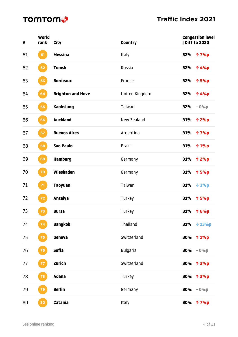| #  | World<br>rank | <b>City</b>              | <b>Country</b>  |     | <b>Congestion level</b><br>  Diff to 2020 |
|----|---------------|--------------------------|-----------------|-----|-------------------------------------------|
| 61 | 61            | <b>Messina</b>           | Italy           |     | 32% 个 7%p                                 |
| 62 | 62            | <b>Tomsk</b>             | Russia          |     | 32% 个 4%p                                 |
| 63 | 63            | <b>Bordeaux</b>          | France          |     | 32% 个 5%p                                 |
| 64 | 64            | <b>Brighton and Hove</b> | United Kingdom  |     | 32% 个 4%p                                 |
| 65 | 65            | <b>Kaohsiung</b>         | Taiwan          |     | $32% - 0%$                                |
| 66 | 66            | <b>Auckland</b>          | New Zealand     |     | 31% 个 2%p                                 |
| 67 | 67            | <b>Buenos Aires</b>      | Argentina       |     | 31% ↑ 7%p                                 |
| 68 | 68            | <b>Sao Paulo</b>         | <b>Brazil</b>   |     | 31% ↑ 1%p                                 |
| 69 | 69            | <b>Hamburg</b>           | Germany         |     | 31% 个 2%p                                 |
| 70 | $70\,$        | Wiesbaden                | Germany         |     | 31% 个 5%p                                 |
| 71 | 71            | <b>Taoyuan</b>           | Taiwan          |     | 31% $\sqrt{39}$                           |
| 72 | $72$          | <b>Antalya</b>           | Turkey          |     | 31% 个 5%p                                 |
| 73 | 73            | <b>Bursa</b>             | Turkey          |     | 31% ↑ 6%p                                 |
| 74 | 74            | <b>Bangkok</b>           | Thailand        | 31% | $\downarrow$ 13%p                         |
| 75 | 75            | Geneva                   | Switzerland     |     | 30% 个 1%p                                 |
| 76 | 76            | <b>Sofia</b>             | <b>Bulgaria</b> |     | $30\% - 0\%p$                             |
| 77 | 77            | Zurich                   | Switzerland     |     | 30% 个 3%p                                 |
| 78 | 78            | <b>Adana</b>             | Turkey          |     | 30% 个 3%p                                 |
| 79 | 79            | <b>Berlin</b>            | Germany         |     | $30\% - 0\%p$                             |
| 80 | 80            | Catania                  | Italy           |     | 30% 个 7%p                                 |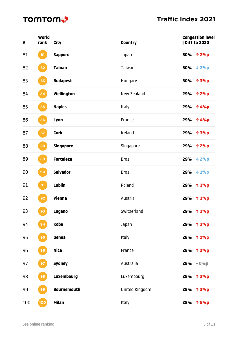| #   | World<br>rank | <b>City</b>        | <b>Country</b> | <b>Congestion level</b><br>  Diff to 2020 |
|-----|---------------|--------------------|----------------|-------------------------------------------|
| 81  | 81            | <b>Sapporo</b>     | Japan          | 30% 个 2%p                                 |
| 82  | 82            | <b>Tainan</b>      | Taiwan         | 30% $\sqrt{2\%p}$                         |
| 83  | 83            | <b>Budapest</b>    | Hungary        | 30% 个 3%p                                 |
| 84  | 84            | Wellington         | New Zealand    | 29% 个 2%p                                 |
| 85  | 85            | <b>Naples</b>      | Italy          | 29% 个 4%p                                 |
| 86  | 86            | Lyon               | France         | 29% 个 4%p                                 |
| 87  | 87            | <b>Cork</b>        | Ireland        | 29% 个 3%p                                 |
| 88  | 88            | <b>Singapore</b>   | Singapore      | 29% 个 2%p                                 |
| 89  | 89            | <b>Fortaleza</b>   | <b>Brazil</b>  | $29% \t + 2%p$                            |
| 90  | 90            | <b>Salvador</b>    | <b>Brazil</b>  | 29% $\downarrow$ 1%p                      |
| 91  | 91            | Lublin             | Poland         | 29% 个 3%p                                 |
| 92  | 92            | Vienna             | Austria        | 29% 个 3%p                                 |
| 93  | 93            | <b>Lugano</b>      | Switzerland    | 29% 个 3%p                                 |
| 94  | 94            | <b>Kobe</b>        | Japan          | 29% 个 3%p                                 |
| 95  | 95            | Genoa              | Italy          | 28% 个 1%p                                 |
| 96  | 96            | <b>Nice</b>        | France         | 28% 个 3%p                                 |
| 97  | 97            | <b>Sydney</b>      | Australia      | $28% - 0%$                                |
| 98  | 98            | <b>Luxembourg</b>  | Luxembourg     | 28% 个 3%p                                 |
| 99  | 99            | <b>Bournemouth</b> | United Kingdom | 28% 个 3%p                                 |
| 100 | 100           | <b>Milan</b>       | Italy          | 28% 个 5%p                                 |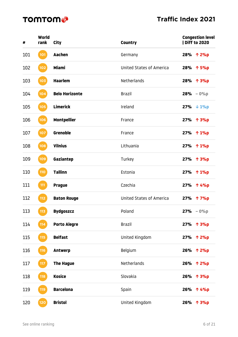| #   | World<br>rank | City                  | <b>Country</b>                  | <b>Congestion level</b><br><b>Diff to 2020</b> |
|-----|---------------|-----------------------|---------------------------------|------------------------------------------------|
| 101 | 101           | Aachen                | Germany                         | 28% 个 2%p                                      |
| 102 | 102           | Miami                 | <b>United States of America</b> | 28% 个 5%p                                      |
| 103 | 103           | <b>Haarlem</b>        | Netherlands                     | 28% 个 3%p                                      |
| 104 | 104           | <b>Belo Horizonte</b> | <b>Brazil</b>                   | $28% - 0%$                                     |
| 105 | 105           | <b>Limerick</b>       | Ireland                         | $27% \t + 1%p$                                 |
| 106 | 106           | <b>Montpellier</b>    | France                          | 27% 个 3%p                                      |
| 107 | 107           | <b>Grenoble</b>       | France                          | 27% 个 1%p                                      |
| 108 | 108           | <b>Vilnius</b>        | Lithuania                       | 27% 个 1%p                                      |
| 109 | 109           | Gaziantep             | Turkey                          | 27% 个 3%p                                      |
| 110 | 110           | <b>Tallinn</b>        | Estonia                         | 27% 个 1%p                                      |
| 111 | 111           | <b>Prague</b>         | Czechia                         | 27% 个 4%p                                      |
| 112 | $112$         | <b>Baton Rouge</b>    | <b>United States of America</b> | 27% 个 7%p                                      |
| 113 | 113           | <b>Bydgoszcz</b>      | Poland                          | $27% - 0%$                                     |
| 114 | 114           | <b>Porto Alegre</b>   | <b>Brazil</b>                   | 27% 个 3%p                                      |
| 115 | 115           | <b>Belfast</b>        | United Kingdom                  | 27% 个 2%p                                      |
| 116 | 116           | <b>Antwerp</b>        | Belgium                         | 26% 个 2%p                                      |
| 117 | 117           | <b>The Hague</b>      | Netherlands                     | 26% 个 2%p                                      |
| 118 | 118           | <b>Kosice</b>         | Slovakia                        | 26% 个 3%p                                      |
| 119 | 119           | <b>Barcelona</b>      | Spain                           | 26% 个 4%p                                      |
| 120 | 120           | <b>Bristol</b>        | United Kingdom                  | 26% 个 3%p                                      |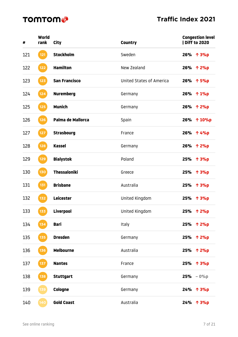| #   | World<br>rank | City                 | <b>Country</b>           | <b>Congestion level</b><br>  Diff to 2020 |
|-----|---------------|----------------------|--------------------------|-------------------------------------------|
| 121 | $121$         | <b>Stockholm</b>     | Sweden                   | 26% 个 3%p                                 |
| 122 | $122$         | <b>Hamilton</b>      | New Zealand              | 26% 个 2%p                                 |
| 123 | $123$         | <b>San Francisco</b> | United States of America | 26% 个 5%p                                 |
| 124 | $124$         | <b>Nuremberg</b>     | Germany                  | 26% 个 1%p                                 |
| 125 | $125$         | <b>Munich</b>        | Germany                  | 26% 个 2%p                                 |
| 126 | 126           | Palma de Mallorca    | Spain                    | 26% 个 10%p                                |
| 127 | $127$         | <b>Strasbourg</b>    | France                   | 26% ↑ 4%p                                 |
| 128 | 128           | <b>Kassel</b>        | Germany                  | 26% 个 2%p                                 |
| 129 | 129           | <b>Bialystok</b>     | Poland                   | 25% 个 3%p                                 |
| 130 | 130           | <b>Thessaloniki</b>  | Greece                   | 25% 个 3%p                                 |
| 131 | 131           | <b>Brisbane</b>      | Australia                | 25% 个 3%p                                 |
| 132 | 132           | Leicester            | United Kingdom           | 25% 个 3%p                                 |
| 133 | 133           | <b>Liverpool</b>     | United Kingdom           | 25% 个 2%p                                 |
| 134 | 134           | <b>Bari</b>          | Italy                    | 25% 个 2%p                                 |
| 135 | 135           | <b>Dresden</b>       | Germany                  | 25% 个 2%p                                 |
| 136 | 136           | <b>Melbourne</b>     | Australia                | 25% 个 2%p                                 |
| 137 | 137           | <b>Nantes</b>        | France                   | 25% 个 3%p                                 |
| 138 | 138           | <b>Stuttgart</b>     | Germany                  | $25% - 0%$                                |
| 139 | 139           | Cologne              | Germany                  | 24% 个 3%p                                 |
| 140 | 140           | <b>Gold Coast</b>    | Australia                | 24% 个 3%p                                 |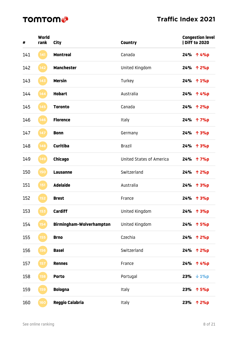| #   | World<br>rank | City                     | <b>Country</b>                  | <b>Congestion level</b><br><b>Diff to 2020</b> |
|-----|---------------|--------------------------|---------------------------------|------------------------------------------------|
| 141 | 141           | <b>Montreal</b>          | Canada                          | 24% 个 4%p                                      |
| 142 | 142           | <b>Manchester</b>        | United Kingdom                  | 24% 个 2%p                                      |
| 143 | $143$         | <b>Mersin</b>            | Turkey                          | 24% 个 1%p                                      |
| 144 | 144           | <b>Hobart</b>            | Australia                       | 24% 个 4%p                                      |
| 145 | 145           | <b>Toronto</b>           | Canada                          | 24% 个 2%p                                      |
| 146 | 146           | <b>Florence</b>          | Italy                           | 24% 个 7%p                                      |
| 147 | $147$         | <b>Bonn</b>              | Germany                         | 24% 个 3%p                                      |
| 148 | 148           | <b>Curitiba</b>          | <b>Brazil</b>                   | 24% 个 3%p                                      |
| 149 | 149           | <b>Chicago</b>           | <b>United States of America</b> | 24% 个 7%p                                      |
| 150 | 150           | <b>Lausanne</b>          | Switzerland                     | 24% 个 2%p                                      |
| 151 | 151           | <b>Adelaide</b>          | Australia                       | 24% 个 3%p                                      |
| 152 | 152           | <b>Brest</b>             | France                          | 24% 个 3%p                                      |
| 153 | 153           | <b>Cardiff</b>           | United Kingdom                  | 24% 个 3%p                                      |
| 154 | 154           | Birmingham-Wolverhampton | United Kingdom                  | 24% 个 5%p                                      |
| 155 | 155           | <b>Brno</b>              | Czechia                         | 24% 个 2%p                                      |
| 156 | 156           | <b>Basel</b>             | Switzerland                     | 24% 个 2%p                                      |
| 157 | 157           | <b>Rennes</b>            | France                          | 24% 个 4%p                                      |
| 158 | 158           | <b>Porto</b>             | Portugal                        | $23% \t + 1%p$                                 |
| 159 | 159           | <b>Bologna</b>           | Italy                           | 23% 个 5%p                                      |
| 160 | 160           | <b>Reggio Calabria</b>   | Italy                           | 23% 个 2%p                                      |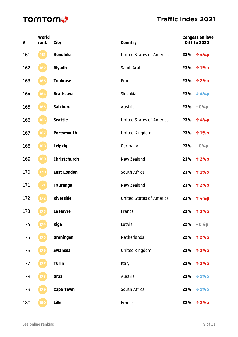| #   | World<br>rank | City                | <b>Country</b>                  | <b>Congestion level</b><br>  Diff to 2020 |
|-----|---------------|---------------------|---------------------------------|-------------------------------------------|
| 161 | 161           | <b>Honolulu</b>     | <b>United States of America</b> | 23% 个 4%p                                 |
| 162 | 162           | <b>Riyadh</b>       | Saudi Arabia                    | 23%<br>↑ 1%p                              |
| 163 | 163           | <b>Toulouse</b>     | France                          | 23% 个 2%p                                 |
| 164 | 164           | <b>Bratislava</b>   | Slovakia                        | $23% \t + 4%p$                            |
| 165 | 165           | <b>Salzburg</b>     | Austria                         | $23% - 0%$                                |
| 166 | 166           | <b>Seattle</b>      | <b>United States of America</b> | 23% 个 4%p                                 |
| 167 | 167           | <b>Portsmouth</b>   | United Kingdom                  | 23% 个 1%p                                 |
| 168 | 168           | <b>Leipzig</b>      | Germany                         | $23% - 0%$                                |
| 169 | 169           | <b>Christchurch</b> | New Zealand                     | 23%<br>个 2%p                              |
| 170 | 170           | <b>East London</b>  | South Africa                    | 23% 个 1%p                                 |
| 171 | 171           | <b>Tauranga</b>     | New Zealand                     | 23%<br>个 2%p                              |
| 172 | 172           | <b>Riverside</b>    | <b>United States of America</b> | 23%<br>个 4%p                              |
| 173 | 173           | <b>Le Havre</b>     | France                          | 23%<br>个 3%p                              |
| 174 | 174           | <b>Riga</b>         | Latvia                          | $22% - 0%$                                |
| 175 | 175           | Groningen           | Netherlands                     | 22% 个 2%p                                 |
| 176 | 176           | <b>Swansea</b>      | United Kingdom                  | 22% 个 2%p                                 |
| 177 | 177           | <b>Turin</b>        | Italy                           | 22% 个 2%p                                 |
| 178 | 178           | Graz                | Austria                         | $22% \t + 1%p$                            |
| 179 | 179           | <b>Cape Town</b>    | South Africa                    | $22% \t + 1%p$                            |
| 180 | 180           | Lille               | France                          | 22%<br>个 2%p                              |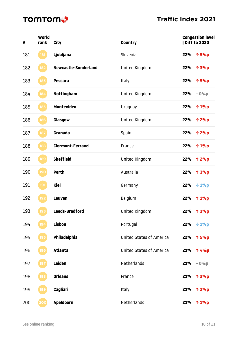| #   | World<br>rank | <b>City</b>             | <b>Country</b>                  |     | <b>Congestion level</b><br>  Diff to 2020 |
|-----|---------------|-------------------------|---------------------------------|-----|-------------------------------------------|
| 181 | 181           | Ljubljana               | Slovenia                        |     | 22% 个 5%p                                 |
| 182 | 182           | Newcastle-Sunderland    | United Kingdom                  |     | 22% 个 3%p                                 |
| 183 | 183           | <b>Pescara</b>          | Italy                           |     | 22% 个 5%p                                 |
| 184 | 184           | <b>Nottingham</b>       | United Kingdom                  |     | $22% - 0%$                                |
| 185 | 185           | <b>Montevideo</b>       | Uruguay                         |     | 22% 个 1%p                                 |
| 186 | 186           | Glasgow                 | United Kingdom                  |     | 22% 个 2%p                                 |
| 187 | 187           | Granada                 | Spain                           |     | 22% 个 2%p                                 |
| 188 | 188           | <b>Clermont-Ferrand</b> | France                          |     | 22% 个 1%p                                 |
| 189 | 189           | <b>Sheffield</b>        | United Kingdom                  |     | 22% 个 2%p                                 |
| 190 | 190           | <b>Perth</b>            | Australia                       |     | 22% 个 3%p                                 |
| 191 | 191           | <b>Kiel</b>             | Germany                         |     | 22% $\downarrow$ 1%p                      |
| 192 | 192           | <b>Leuven</b>           | Belgium                         |     | 22% 个 1%p                                 |
| 193 | 193           | Leeds-Bradford          | United Kingdom                  |     | 22% 个 3%p                                 |
| 194 | 194           | <b>Lisbon</b>           | Portugal                        | 22% | $\downarrow$ 1%p                          |
| 195 | 195           | Philadelphia            | United States of America        |     | 22% 个 5%p                                 |
| 196 | 196           | <b>Atlanta</b>          | <b>United States of America</b> |     | 21% ↑ 4%p                                 |
| 197 | 197           | <b>Leiden</b>           | Netherlands                     |     | $21% - 0%$                                |
| 198 | 198           | <b>Orleans</b>          | France                          | 21% | 个 3%p                                     |
| 199 | 199           | Cagliari                | Italy                           | 21% | 个 2%p                                     |
| 200 | 200           | <b>Apeldoorn</b>        | Netherlands                     | 21% | 个 1%p                                     |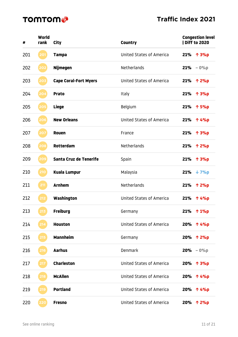| #   | World<br>rank | City                         | <b>Country</b>                  | <b>Congestion level</b><br><b>Diff to 2020</b> |
|-----|---------------|------------------------------|---------------------------------|------------------------------------------------|
| 201 | 201           | <b>Tampa</b>                 | <b>United States of America</b> | 21% 个 3%p                                      |
| 202 | 202           | <b>Nijmegen</b>              | <b>Netherlands</b>              | 21%<br>$-0%p$                                  |
| 203 | 203           | <b>Cape Coral-Fort Myers</b> | <b>United States of America</b> | 21% 个 2%p                                      |
| 204 | 204           | <b>Prato</b>                 | Italy                           | 21%<br>个 3%p                                   |
| 205 | 205           | <b>Liege</b>                 | Belgium                         | 21%<br>个 5%p                                   |
| 206 | 206           | <b>New Orleans</b>           | <b>United States of America</b> | 21%<br>个 4%p                                   |
| 207 | 207           | <b>Rouen</b>                 | France                          | $21\% \quad \uparrow 3\%p$                     |
| 208 | 208           | Rotterdam                    | Netherlands                     | 21%<br>个 2%p                                   |
| 209 | 209           | Santa Cruz de Tenerife       | Spain                           | 21%<br>↑ 3%p                                   |
| 210 | 210           | <b>Kuala Lumpur</b>          | Malaysia                        | 21% $\sqrt{7}$                                 |
| 211 | 211           | <b>Arnhem</b>                | Netherlands                     | 21%<br>个 2%p                                   |
| 212 | 212           | Washington                   | <b>United States of America</b> | 21%<br>个 4%p                                   |
| 213 | 213           | <b>Freiburg</b>              | Germany                         | 21%<br>个 1%p                                   |
| 214 | 214           | <b>Houston</b>               | <b>United States of America</b> | 20% 个 4%p                                      |
| 215 | 215           | <b>Mannheim</b>              | Germany                         | 20% 个 2%p                                      |
| 216 | 216           | <b>Aarhus</b>                | Denmark                         | $20% - 0%$                                     |
| 217 | 217           | <b>Charleston</b>            | <b>United States of America</b> | 20% 个 3%p                                      |
| 218 | 218           | <b>McAllen</b>               | <b>United States of America</b> | 20% 个 4%p                                      |
| 219 | 219           | <b>Portland</b>              | <b>United States of America</b> | 20% 个 4%p                                      |
| 220 | 220           | <b>Fresno</b>                | United States of America        | 20% 个 2%p                                      |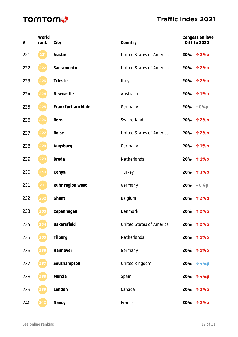| #   | World<br>rank | City                     | <b>Country</b>                  | <b>Congestion level</b><br><b>Diff to 2020</b> |
|-----|---------------|--------------------------|---------------------------------|------------------------------------------------|
| 221 | 221           | <b>Austin</b>            | <b>United States of America</b> | 20% 个 2%p                                      |
| 222 | 222           | <b>Sacramento</b>        | United States of America        | 20% 个 2%p                                      |
| 223 | 223           | <b>Trieste</b>           | Italy                           | 20% 个 2%p                                      |
| 224 | 224           | <b>Newcastle</b>         | Australia                       | 20% 个 1%p                                      |
| 225 | 225           | <b>Frankfurt am Main</b> | Germany                         | $20% - 0%$                                     |
| 226 | 226           | <b>Bern</b>              | Switzerland                     | 20% 个 2%p                                      |
| 227 | 227           | <b>Boise</b>             | <b>United States of America</b> | 20% ↑ 2%p                                      |
| 228 | 228           | <b>Augsburg</b>          | Germany                         | 20% 个 1%p                                      |
| 229 | 229           | <b>Breda</b>             | Netherlands                     | 20% 个 1%p                                      |
| 230 | 230           | <b>Konya</b>             | Turkey                          | 20% 个 3%p                                      |
| 231 | 231           | <b>Ruhr region west</b>  | Germany                         | $20% - 0%$                                     |
| 232 | 232           | <b>Ghent</b>             | Belgium                         | <b>20%</b><br>个 2%p                            |
| 233 | 233           | Copenhagen               | Denmark                         | 20% 个 2%p                                      |
| 234 | 234           | <b>Bakersfield</b>       | <b>United States of America</b> | 20% 个 2%p                                      |
| 235 | 235           | <b>Tilburg</b>           | Netherlands                     | 20% 个 1%p                                      |
| 236 | 236           | <b>Hannover</b>          | Germany                         | 20% 个 1%p                                      |
| 237 | 237           | Southampton              | United Kingdom                  | $20%$ $\sqrt{4\%p}$                            |
| 238 | 238           | <b>Murcia</b>            | Spain                           | 20% 个 4%p                                      |
| 239 | 239           | <b>London</b>            | Canada                          | 20% 个 2%p                                      |
| 240 | 240           | <b>Nancy</b>             | France                          | 20% 个 2%p                                      |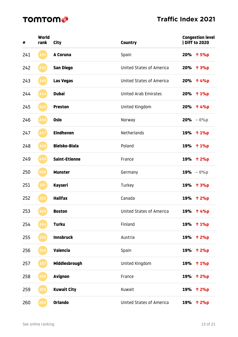| #   | World<br>rank | <b>City</b>          | <b>Country</b>                  | <b>Congestion level</b><br>  Diff to 2020 |
|-----|---------------|----------------------|---------------------------------|-------------------------------------------|
| 241 | 241           | A Coruna             | Spain                           | 20% 个 5%p                                 |
| 242 | 242           | <b>San Diego</b>     | <b>United States of America</b> | 20% 个 3%p                                 |
| 243 | 243           | <b>Las Vegas</b>     | United States of America        | 20% ↑ 4%p                                 |
| 244 | 244           | <b>Dubai</b>         | United Arab Emirates            | 20% 个 1%p                                 |
| 245 | 245           | <b>Preston</b>       | United Kingdom                  | 20% 个 4%p                                 |
| 246 | 246           | <b>Oslo</b>          | Norway                          | $20% - 0%$                                |
| 247 | 247           | <b>Eindhoven</b>     | Netherlands                     | 19% ↑ 1%p                                 |
| 248 | 248           | <b>Bielsko-Biala</b> | Poland                          | 19% ↑ 1%p                                 |
| 249 | 249           | <b>Saint-Etienne</b> | France                          | 19% 个 2%p                                 |
| 250 | 250           | <b>Munster</b>       | Germany                         | $19% - 0%$                                |
| 251 | 251           | Kayseri              | Turkey                          | 19% 个 3%p                                 |
| 252 | 252           | <b>Halifax</b>       | Canada                          | 19% 个 2%p                                 |
| 253 | 253           | <b>Boston</b>        | <b>United States of America</b> | 19% 个 4%p                                 |
| 254 |               | <b>Turku</b>         | Finland                         | 19% ↑ 1%p                                 |
| 255 | 255           | <b>Innsbruck</b>     | Austria                         | 19% 个 2%p                                 |
| 256 | 256           | <b>Valencia</b>      | Spain                           | 19% 个 2%p                                 |
| 257 | 257           | Middlesbrough        | United Kingdom                  | 19% ↑ 1%p                                 |
| 258 | 258           | <b>Avignon</b>       | France                          | 19% ↑ 2%p                                 |
| 259 | 259           | <b>Kuwait City</b>   | Kuwait                          | 19% 个 2%p                                 |
| 260 | 260           | <b>Orlando</b>       | <b>United States of America</b> | 19% 个 2%p                                 |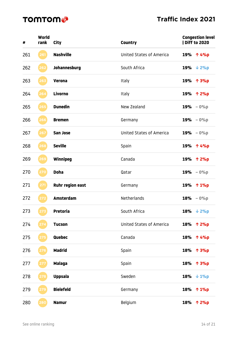| #   | World<br>rank | City                    | <b>Country</b>                  |     | <b>Congestion level</b><br>  Diff to 2020 |
|-----|---------------|-------------------------|---------------------------------|-----|-------------------------------------------|
| 261 | 261           | <b>Nashville</b>        | <b>United States of America</b> |     | 19% 个 4%p                                 |
| 262 | 262           | Johannesburg            | South Africa                    |     | 19% $\sqrt{2\%p}$                         |
| 263 | 263           | <b>Verona</b>           | Italy                           |     | 19% 个 3%p                                 |
| 264 | 264           | Livorno                 | Italy                           |     | 19% 个 2%p                                 |
| 265 | 265           | <b>Dunedin</b>          | New Zealand                     |     | $19% - 0%$                                |
| 266 | 266           | <b>Bremen</b>           | Germany                         |     | $19% - 0%$                                |
| 267 | 267           | <b>San Jose</b>         | <b>United States of America</b> |     | $19% - 0%$                                |
| 268 | 268           | <b>Seville</b>          | Spain                           |     | 19% 个 4%p                                 |
| 269 | 269           | Winnipeg                | Canada                          |     | 19% ↑ 2%p                                 |
| 270 | 270           | <b>Doha</b>             | Qatar                           |     | $19% - 0%$                                |
| 271 | 271           | <b>Ruhr region east</b> | Germany                         |     | 19% ↑ 1%p                                 |
| 272 | 272           | <b>Amsterdam</b>        | Netherlands                     |     | $18% - 0%$                                |
| 273 | 273           | <b>Pretoria</b>         | South Africa                    |     | 18% $\sqrt{2\%p}$                         |
| 274 |               | <b>Tucson</b>           | <b>United States of America</b> |     | 18% ↑ 2%p                                 |
| 275 | 275           | Quebec                  | Canada                          |     | 18% ↑ 4%p                                 |
| 276 |               | <b>Madrid</b>           | Spain                           |     | 18% 个 3%p                                 |
| 277 | 277           | <b>Malaga</b>           | Spain                           |     | 18% 个 3%p                                 |
| 278 | 278           | <b>Uppsala</b>          | Sweden                          |     | 18% $\downarrow$ 1%p                      |
| 279 | 279           | <b>Bielefeld</b>        | Germany                         |     | 18% ↑ 1%p                                 |
| 280 | 280           | <b>Namur</b>            | Belgium                         | 18% | 个 2%p                                     |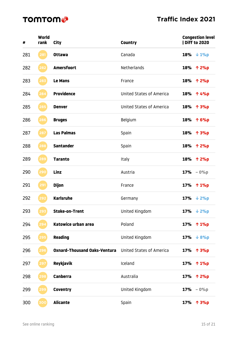| #   | World<br>rank | City                                | <b>Country</b>                  | <b>Congestion level</b><br>  Diff to 2020 |
|-----|---------------|-------------------------------------|---------------------------------|-------------------------------------------|
| 281 | 281           | <b>Ottawa</b>                       | Canada                          | 18% $\downarrow$ 1%p                      |
| 282 | 282           | <b>Amersfoort</b>                   | Netherlands                     | 18% 个 2%p                                 |
| 283 | 283           | <b>Le Mans</b>                      | France                          | 18% 个 2%p                                 |
| 284 | 284           | <b>Providence</b>                   | <b>United States of America</b> | 18% 个 4%p                                 |
| 285 | 285           | <b>Denver</b>                       | <b>United States of America</b> | 18% 个 3%p                                 |
| 286 | 286           | <b>Bruges</b>                       | Belgium                         | 18% ↑ 6%p                                 |
| 287 | 287           | <b>Las Palmas</b>                   | Spain                           | 18% ↑ 3%p                                 |
| 288 | 288           | <b>Santander</b>                    | Spain                           | 18% ↑ 2%p                                 |
| 289 | 289           | <b>Taranto</b>                      | Italy                           | 18% ↑ 2%p                                 |
| 290 | 290           | Linz                                | Austria                         | $17% - 0%$                                |
| 291 | 291           | <b>Dijon</b>                        | France                          | 17% 个 1%p                                 |
| 292 | 292           | <b>Karlsruhe</b>                    | Germany                         | $17% \t \t 2%p$                           |
| 293 | 293           | <b>Stoke-on-Trent</b>               | United Kingdom                  | $17% \t + 2%p$                            |
| 294 | 294           | Katowice urban area                 | Poland                          | 17%<br>个 1%p                              |
| 295 | 295           | <b>Reading</b>                      | United Kingdom                  | $17% \t \t \t 8%p$                        |
| 296 | 296           | <b>Oxnard-Thousand Oaks-Ventura</b> | <b>United States of America</b> | 17% 个 3%p                                 |
| 297 | 297           | <b>Reykjavik</b>                    | Iceland                         | 17%<br>个 1%p                              |
| 298 | 298           | <b>Canberra</b>                     | Australia                       | <b>17%</b><br>个 2%p                       |
| 299 | 299           | <b>Coventry</b>                     | United Kingdom                  | $-0%p$<br>17%                             |
| 300 | 300           | <b>Alicante</b>                     | Spain                           | 17%<br>个 3%p                              |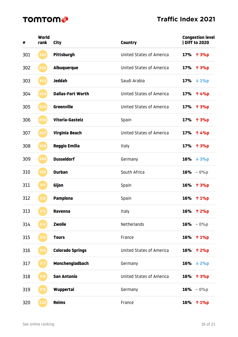| #   | World<br>rank | City                     | <b>Country</b>                  | <b>Congestion level</b><br><b>Diff to 2020</b> |
|-----|---------------|--------------------------|---------------------------------|------------------------------------------------|
| 301 | 301           | <b>Pittsburgh</b>        | <b>United States of America</b> | 17% ↑ 3%p                                      |
| 302 | 302           | <b>Albuquerque</b>       | <b>United States of America</b> | 17% 个 3%p                                      |
| 303 | 303           | <b>Jeddah</b>            | Saudi Arabia                    | $17% \t \t \t 1%p$                             |
| 304 | 304           | <b>Dallas-Fort Worth</b> | <b>United States of America</b> | 17% 个 4%p                                      |
| 305 | 305           | <b>Greenville</b>        | <b>United States of America</b> | 17% 个 3%p                                      |
| 306 | 306           | Vitoria-Gasteiz          | Spain                           | 17% 个 3%p                                      |
| 307 | 307           | Virginia Beach           | <b>United States of America</b> | 17% 个 4%p                                      |
| 308 | 308           | <b>Reggio Emilia</b>     | Italy                           | 17%<br>个 3%p                                   |
| 309 | 309           | <b>Dusseldorf</b>        | Germany                         | 16%<br>$\downarrow$ 3%p                        |
| 310 | 310           | <b>Durban</b>            | South Africa                    | $16% - 0%$                                     |
| 311 | 311           | Gijon                    | Spain                           | 16% 个 3%p                                      |
| 312 | 312           | <b>Pamplona</b>          | Spain                           | 16%<br>$\uparrow$ 1%p                          |
| 313 | 313           | Ravenna                  | <b>Italy</b>                    | 16% 个 2%p                                      |
| 314 | 314           | <b>Zwolle</b>            | Netherlands                     | $16% - 0%$                                     |
| 315 | 315           | <b>Tours</b>             | France                          | 16% ↑ 1%p                                      |
| 316 | 316           | <b>Colorado Springs</b>  | <b>United States of America</b> | 16% ↑ 2%p                                      |
| 317 | 317           | Monchengladbach          | Germany                         | $16% \t + 2%p$                                 |
| 318 | 318           | <b>San Antonio</b>       | <b>United States of America</b> | 16% 个 3%p                                      |
| 319 | 319           | Wuppertal                | Germany                         | $16% - 0%$                                     |
| 320 | 320           | <b>Reims</b>             | France                          | 16% ↑ 1%p                                      |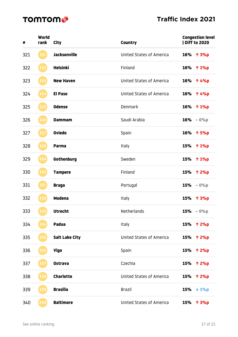| #   | World<br>rank | City                  | <b>Country</b>                  | <b>Congestion level</b><br>  Diff to 2020 |
|-----|---------------|-----------------------|---------------------------------|-------------------------------------------|
| 321 | 321           | <b>Jacksonville</b>   | United States of America        | 16% 个 3%p                                 |
| 322 | 322           | <b>Helsinki</b>       | Finland                         | 16% ↑ 1%p                                 |
| 323 | 323           | <b>New Haven</b>      | United States of America        | 16% ↑ 4%p                                 |
| 324 | 324           | <b>El Paso</b>        | United States of America        | 16% ↑ 4%p                                 |
| 325 | 325           | <b>Odense</b>         | <b>Denmark</b>                  | 16% ↑ 1%p                                 |
| 326 | 326           | <b>Dammam</b>         | Saudi Arabia                    | $16% - 0%$                                |
| 327 | 327           | <b>Oviedo</b>         | Spain                           | 16% 个 5%p                                 |
| 328 | 328           | Parma                 | Italy                           | 15% ↑ 1%p                                 |
| 329 | 329           | Gothenburg            | Sweden                          | 15% ↑ 1%p                                 |
| 330 | 330           | <b>Tampere</b>        | Finland                         | 15% ↑ 2%p                                 |
| 331 | 331           | <b>Braga</b>          | Portugal                        | $15% - 0%$                                |
| 332 | 332           | <b>Modena</b>         | Italy                           | 15% 个 3%p                                 |
| 333 | 333           | <b>Utrecht</b>        | Netherlands                     | $15% - 0%$                                |
| 334 |               | Padua                 | Italy                           | 15% 个 2%p                                 |
| 335 | 335           | <b>Salt Lake City</b> | <b>United States of America</b> | 15% 个 2%p                                 |
| 336 | 336           | <b>Vigo</b>           | Spain                           | 15% 个 2%p                                 |
| 337 | 337           | <b>Ostrava</b>        | Czechia                         | <b>15%</b><br>个 2%p                       |
| 338 | 338           | <b>Charlotte</b>      | <b>United States of America</b> | <b>15%</b><br>个 2%p                       |
| 339 | 339           | <b>Brasilia</b>       | <b>Brazil</b>                   | 15% $\sqrt{1\%p}$                         |
| 340 | 340           | <b>Baltimore</b>      | <b>United States of America</b> | <b>15%</b><br>个 3%p                       |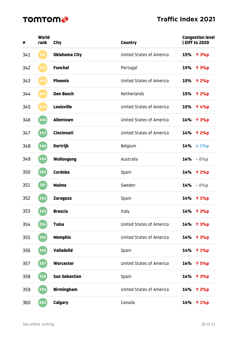| #   | World<br>rank       | <b>City</b>          | <b>Country</b>                  |     | <b>Congestion level</b><br>  Diff to 2020 |
|-----|---------------------|----------------------|---------------------------------|-----|-------------------------------------------|
| 341 | 341                 | <b>Oklahoma City</b> | United States of America        |     | 15% ↑ 3%p                                 |
| 342 | 342                 | <b>Funchal</b>       | Portugal                        | 15% | 个 3%p                                     |
| 343 | 343                 | <b>Phoenix</b>       | <b>United States of America</b> |     | 15% 个 2%p                                 |
| 344 | 344                 | <b>Den Bosch</b>     | <b>Netherlands</b>              |     | 15% 个 2%p                                 |
| 345 | 345                 | <b>Louisville</b>    | <b>United States of America</b> |     | 15% 个 4%p                                 |
| 346 | $\left( 346\right)$ | <b>Allentown</b>     | United States of America        |     | 14% 个 3%p                                 |
| 347 | 347                 | <b>Cincinnati</b>    | <b>United States of America</b> |     | 14% 个 2%p                                 |
| 348 | 348                 | <b>Kortrijk</b>      | Belgium                         |     | $14% \t + 1%p$                            |
| 349 | 349                 | Wollongong           | Australia                       |     | $14% - 0%$                                |
| 350 | 350                 | <b>Cordoba</b>       | Spain                           |     | 14% 个 2%p                                 |
| 351 | 351                 | <b>Malmo</b>         | Sweden                          |     | $14% - 0%$                                |
| 352 | 352                 | <b>Zaragoza</b>      | Spain                           |     | 14% ↑ 1%p                                 |
| 353 | 353                 | <b>Brescia</b>       | <b>Italy</b>                    |     | 14% 个 3%p                                 |
| 354 | 354                 | <b>Tulsa</b>         | United States of America        |     | 14% 个 3%p                                 |
| 355 | 355                 | <b>Memphis</b>       | United States of America        |     | 14% 个 3%p                                 |
| 356 | 356                 | <b>Valladolid</b>    | Spain                           |     | 14% ↑ 1%p                                 |
| 357 | 357                 | Worcester            | <b>United States of America</b> | 14% | 个 5%p                                     |
| 358 | 358                 | <b>San Sebastian</b> | Spain                           |     | 14% 个 3%p                                 |
| 359 | 359                 | <b>Birmingham</b>    | <b>United States of America</b> |     | 14% 个 2%p                                 |
| 360 | 360                 | <b>Calgary</b>       | Canada                          |     | 14% ↑ 1%p                                 |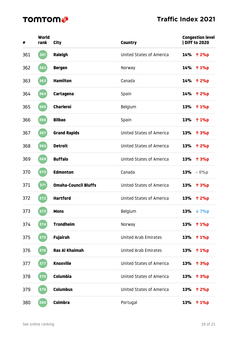| #   | World<br>rank       | City                        | <b>Country</b>                  | <b>Congestion level</b><br><b>Diff to 2020</b> |  |
|-----|---------------------|-----------------------------|---------------------------------|------------------------------------------------|--|
| 361 | 361                 | Raleigh                     | <b>United States of America</b> | 14% 个 2%p                                      |  |
| 362 | 362                 | <b>Bergen</b>               | Norway                          | 14% ↑ 1%p                                      |  |
| 363 | 363                 | <b>Hamilton</b>             | Canada                          | 14% 个 2%p                                      |  |
| 364 | 364                 | Cartagena                   | Spain                           | 14% ↑ 2%p                                      |  |
| 365 | 365                 | <b>Charleroi</b>            | Belgium                         | 13%<br>$\uparrow$ 1%p                          |  |
| 366 | 366                 | <b>Bilbao</b>               | Spain                           | 13%<br>个 1%p                                   |  |
| 367 | 367                 | <b>Grand Rapids</b>         | <b>United States of America</b> | 13% 个 3%p                                      |  |
| 368 | $\left[ 368\right]$ | <b>Detroit</b>              | <b>United States of America</b> | 13%<br>个 2%p                                   |  |
| 369 | 369                 | <b>Buffalo</b>              | <b>United States of America</b> | 13%<br>个 3%p                                   |  |
| 370 | 370                 | <b>Edmonton</b>             | Canada                          | $13% - 0%$                                     |  |
| 371 | 371                 | <b>Omaha-Council Bluffs</b> | <b>United States of America</b> | 13% 个 3%p                                      |  |
| 372 | $372$               | <b>Hartford</b>             | <b>United States of America</b> | 13%<br>个 2%p                                   |  |
| 373 | 373                 | <b>Mons</b>                 | Belgium                         | 13%<br>$\downarrow$ 7%p                        |  |
| 374 | 374                 | <b>Trondheim</b>            | Norway                          | 13% ↑ 1%p                                      |  |
| 375 | 375                 | <b>Fujairah</b>             | <b>United Arab Emirates</b>     | 13% ↑ 1%p                                      |  |
| 376 | 376                 | <b>Ras Al Khaimah</b>       | <b>United Arab Emirates</b>     | 13% ↑ 1%p                                      |  |
| 377 | 377                 | <b>Knoxville</b>            | <b>United States of America</b> | 13% 个 3%p                                      |  |
| 378 | 378                 | <b>Columbia</b>             | <b>United States of America</b> | 13% ↑ 3%p                                      |  |
| 379 | 379                 | <b>Columbus</b>             | <b>United States of America</b> | 13% 个 2%p                                      |  |
| 380 | 380                 | <b>Coimbra</b>              | Portugal                        | 13%<br>$\uparrow$ 1%p                          |  |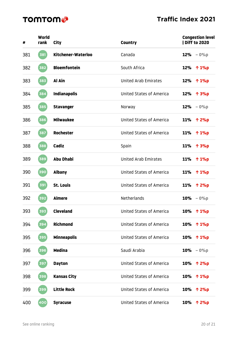| #   | World<br>rank      | <b>City</b>         | <b>Country</b>                  | <b>Congestion level</b><br>  Diff to 2020 |
|-----|--------------------|---------------------|---------------------------------|-------------------------------------------|
| 381 | 381                | Kitchener-Waterloo  | Canada                          | $12% - 0%$                                |
| 382 | 382                | <b>Bloemfontein</b> | South Africa                    | 12%<br>个 1%p                              |
| 383 | 383                | Al Ain              | <b>United Arab Emirates</b>     | 12% ↑ 1%p                                 |
| 384 | 384                | <b>Indianapolis</b> | <b>United States of America</b> | 12% 个 3%p                                 |
| 385 | 385                | <b>Stavanger</b>    | Norway                          | 12%<br>$-0%p$                             |
| 386 | 386                | <b>Milwaukee</b>    | <b>United States of America</b> | <b>11%</b><br>个 2%p                       |
| 387 | 387                | <b>Rochester</b>    | <b>United States of America</b> | 11% ↑ 1%p                                 |
| 388 | 388                | <b>Cadiz</b>        | Spain                           | <b>11%</b><br>个 3%p                       |
| 389 | 389                | <b>Abu Dhabi</b>    | <b>United Arab Emirates</b>     | <b>11%</b><br>$\uparrow$ 1%p              |
| 390 | 390                | <b>Albany</b>       | <b>United States of America</b> | 11%<br>↑ 1%p                              |
| 391 | 391                | <b>St. Louis</b>    | <b>United States of America</b> | <b>11%</b><br>个 2%p                       |
| 392 | $\left[392\right]$ | <b>Almere</b>       | Netherlands                     | $10\% - 0\%p$                             |
| 393 | 393                | <b>Cleveland</b>    | <b>United States of America</b> | 10% ↑ 1%p                                 |
| 394 | 394                | <b>Richmond</b>     | <b>United States of America</b> | <b>10%</b><br>$\uparrow$ 1%p              |
| 395 | 395                | <b>Minneapolis</b>  | <b>United States of America</b> | 10% ↑ 1%p                                 |
| 396 | 396                | <b>Medina</b>       | Saudi Arabia                    | <b>10%</b><br>$-0%p$                      |
| 397 | 397                | <b>Dayton</b>       | <b>United States of America</b> | <b>10%</b><br>个 2%p                       |
| 398 | 398                | <b>Kansas City</b>  | <b>United States of America</b> | <b>10%</b><br>$\uparrow$ 1%p              |
| 399 | 399                | <b>Little Rock</b>  | <b>United States of America</b> | 10% 个 2%p                                 |
| 400 | $\left[400\right]$ | <b>Syracuse</b>     | <b>United States of America</b> | <b>10%</b><br>个 2%p                       |